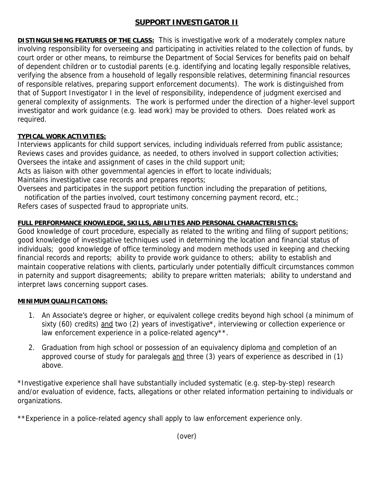# **SUPPORT INVESTIGATOR II**

**DISTINGUISHING FEATURES OF THE CLASS:** This is investigative work of a moderately complex nature involving responsibility for overseeing and participating in activities related to the collection of funds, by court order or other means, to reimburse the Department of Social Services for benefits paid on behalf of dependent children or to custodial parents (e.g. identifying and locating legally responsible relatives, verifying the absence from a household of legally responsible relatives, determining financial resources of responsible relatives, preparing support enforcement documents). The work is distinguished from that of Support Investigator I in the level of responsibility, independence of judgment exercised and general complexity of assignments. The work is performed under the direction of a higher-level support investigator and work guidance (e.g. lead work) may be provided to others. Does related work as required.

## **TYPICAL WORK ACTIVITIES:**

Interviews applicants for child support services, including individuals referred from public assistance; Reviews cases and provides guidance, as needed, to others involved in support collection activities; Oversees the intake and assignment of cases in the child support unit;

Acts as liaison with other governmental agencies in effort to locate individuals;

Maintains investigative case records and prepares reports;

Oversees and participates in the support petition function including the preparation of petitions,

notification of the parties involved, court testimony concerning payment record, etc.;

Refers cases of suspected fraud to appropriate units.

# **FULL PERFORMANCE KNOWLEDGE, SKILLS, ABILITIES AND PERSONAL CHARACTERISTICS:**

Good knowledge of court procedure, especially as related to the writing and filing of support petitions; good knowledge of investigative techniques used in determining the location and financial status of individuals; good knowledge of office terminology and modern methods used in keeping and checking financial records and reports; ability to provide work guidance to others; ability to establish and maintain cooperative relations with clients, particularly under potentially difficult circumstances common in paternity and support disagreements; ability to prepare written materials; ability to understand and interpret laws concerning support cases.

## **MINIMUM QUALIFICATIONS:**

- 1. An Associate's degree or higher, or equivalent college credits beyond high school (a minimum of sixty (60) credits) and two (2) years of investigative<sup>\*</sup>, interviewing or collection experience or law enforcement experience in a police-related agency\*\*.
- 2. Graduation from high school or possession of an equivalency diploma and completion of an approved course of study for paralegals and three (3) years of experience as described in (1) above.

\*Investigative experience shall have substantially included systematic (e.g. step-by-step) research and/or evaluation of evidence, facts, allegations or other related information pertaining to individuals or organizations.

\*\*Experience in a police-related agency shall apply to law enforcement experience only.